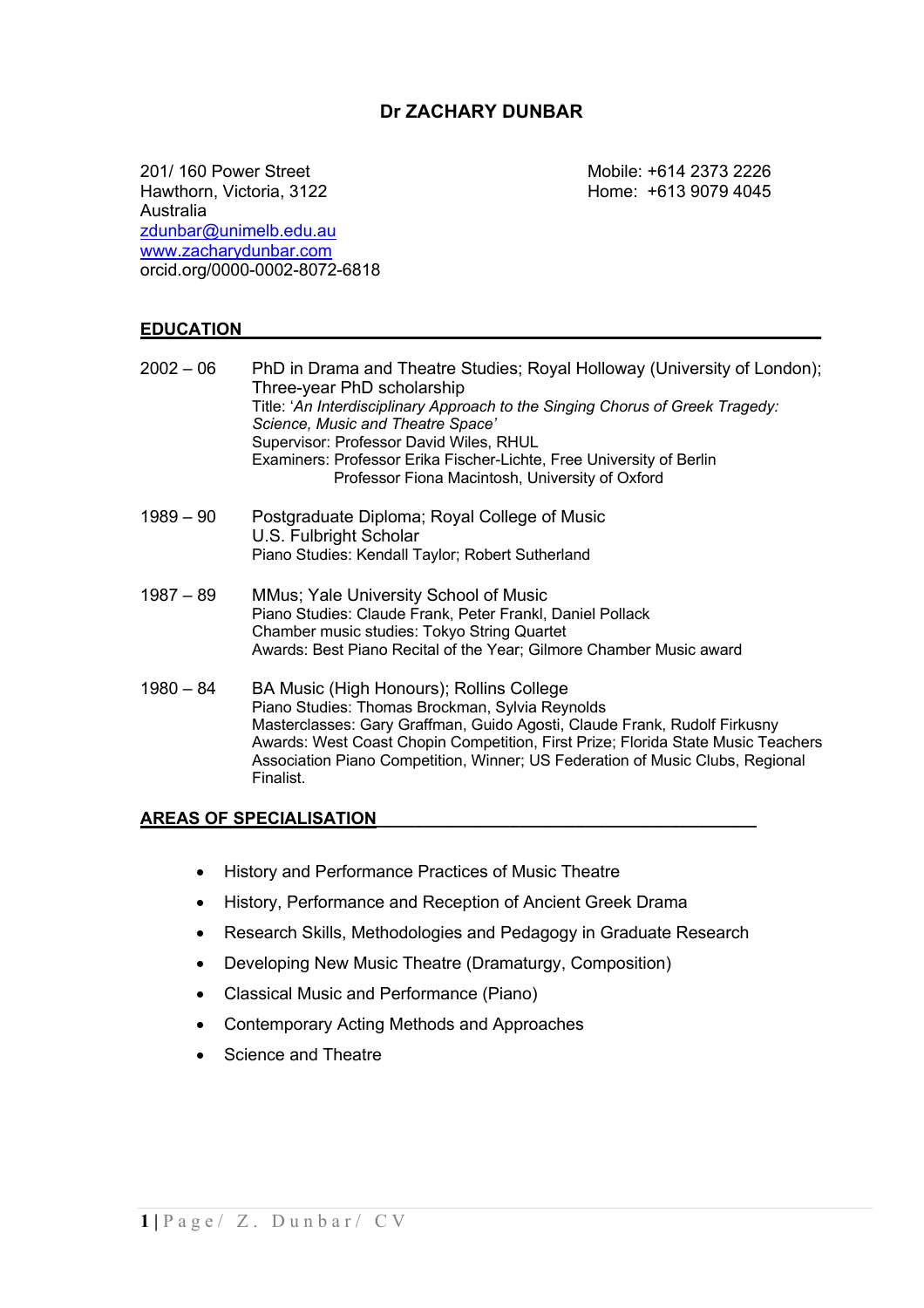## **Dr ZACHARY DUNBAR**

201/ 160 Power Street Mobile: +614 2373 2226 Hawthorn, Victoria, 3122 **Home: +613 9079 4045** Australia zdunbar@unimelb.edu.au www.zacharydunbar.com orcid.org/0000-0002-8072-6818

#### **EDUCATION\_\_\_\_\_\_\_\_\_\_\_\_\_\_\_\_\_\_\_\_\_\_\_\_\_\_\_\_\_\_\_\_\_\_\_\_\_\_\_\_\_\_\_\_\_\_\_\_\_\_\_\_\_\_\_\_\_\_\_\_\_**

| $2002 - 06$ | PhD in Drama and Theatre Studies; Royal Holloway (University of London);<br>Three-year PhD scholarship<br>Title: 'An Interdisciplinary Approach to the Singing Chorus of Greek Tragedy:<br>Science, Music and Theatre Space'<br>Supervisor: Professor David Wiles, RHUL<br>Examiners: Professor Erika Fischer-Lichte, Free University of Berlin<br>Professor Fiona Macintosh, University of Oxford |
|-------------|----------------------------------------------------------------------------------------------------------------------------------------------------------------------------------------------------------------------------------------------------------------------------------------------------------------------------------------------------------------------------------------------------|
| $1989 - 90$ | Postgraduate Diploma; Royal College of Music<br>U.S. Fulbright Scholar<br>Piano Studies: Kendall Taylor; Robert Sutherland                                                                                                                                                                                                                                                                         |
| $1987 - 89$ | MMus; Yale University School of Music<br>Piano Studies: Claude Frank, Peter Frankl, Daniel Pollack<br>Chamber music studies: Tokyo String Quartet<br>Awards: Best Piano Recital of the Year; Gilmore Chamber Music award                                                                                                                                                                           |
| $1980 - 84$ | BA Music (High Honours); Rollins College<br>Piano Studies: Thomas Brockman, Sylvia Reynolds<br>Masterclasses: Gary Graffman, Guido Agosti, Claude Frank, Rudolf Firkusny<br>Awards: West Coast Chopin Competition, First Prize; Florida State Music Teachers<br>Association Piano Competition, Winner; US Federation of Music Clubs, Regional<br>Finalist.                                         |

#### **AREAS OF SPECIALISATION\_\_\_\_\_\_\_\_\_\_\_\_\_\_\_\_\_\_\_\_\_\_\_\_\_\_\_\_\_\_\_\_\_\_\_\_\_\_\_\_**

- History and Performance Practices of Music Theatre
- History, Performance and Reception of Ancient Greek Drama
- Research Skills, Methodologies and Pedagogy in Graduate Research
- Developing New Music Theatre (Dramaturgy, Composition)
- Classical Music and Performance (Piano)
- Contemporary Acting Methods and Approaches
- Science and Theatre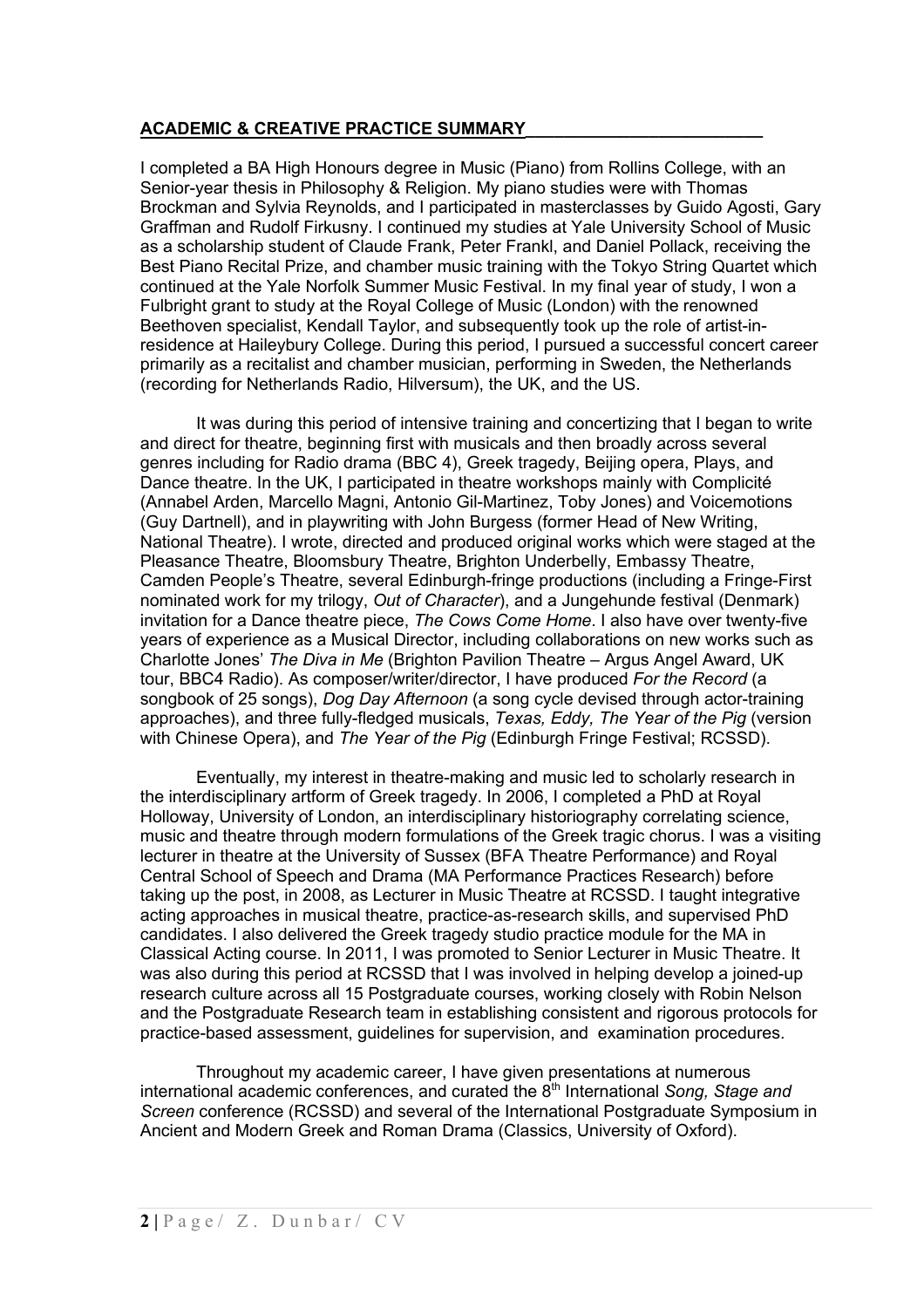### **ACADEMIC & CREATIVE PRACTICE SUMMARY\_\_\_\_\_\_\_\_\_\_\_\_\_\_\_\_\_\_\_\_\_\_\_\_\_**

I completed a BA High Honours degree in Music (Piano) from Rollins College, with an Senior-year thesis in Philosophy & Religion. My piano studies were with Thomas Brockman and Sylvia Reynolds, and I participated in masterclasses by Guido Agosti, Gary Graffman and Rudolf Firkusny. I continued my studies at Yale University School of Music as a scholarship student of Claude Frank, Peter Frankl, and Daniel Pollack, receiving the Best Piano Recital Prize, and chamber music training with the Tokyo String Quartet which continued at the Yale Norfolk Summer Music Festival. In my final year of study, I won a Fulbright grant to study at the Royal College of Music (London) with the renowned Beethoven specialist, Kendall Taylor, and subsequently took up the role of artist-inresidence at Haileybury College. During this period, I pursued a successful concert career primarily as a recitalist and chamber musician, performing in Sweden, the Netherlands (recording for Netherlands Radio, Hilversum), the UK, and the US.

It was during this period of intensive training and concertizing that I began to write and direct for theatre, beginning first with musicals and then broadly across several genres including for Radio drama (BBC 4), Greek tragedy, Beijing opera, Plays, and Dance theatre. In the UK, I participated in theatre workshops mainly with Complicité (Annabel Arden, Marcello Magni, Antonio Gil-Martinez, Toby Jones) and Voicemotions (Guy Dartnell), and in playwriting with John Burgess (former Head of New Writing, National Theatre). I wrote, directed and produced original works which were staged at the Pleasance Theatre, Bloomsbury Theatre, Brighton Underbelly, Embassy Theatre, Camden People's Theatre, several Edinburgh-fringe productions (including a Fringe-First nominated work for my trilogy, *Out of Character*), and a Jungehunde festival (Denmark) invitation for a Dance theatre piece, *The Cows Come Home*. I also have over twenty-five years of experience as a Musical Director, including collaborations on new works such as Charlotte Jones' *The Diva in Me* (Brighton Pavilion Theatre – Argus Angel Award, UK tour, BBC4 Radio). As composer/writer/director, I have produced *For the Record* (a songbook of 25 songs), *Dog Day Afternoon* (a song cycle devised through actor-training approaches), and three fully-fledged musicals, *Texas, Eddy, The Year of the Pig* (version with Chinese Opera), and *The Year of the Pig* (Edinburgh Fringe Festival; RCSSD).

Eventually, my interest in theatre-making and music led to scholarly research in the interdisciplinary artform of Greek tragedy. In 2006, I completed a PhD at Royal Holloway, University of London, an interdisciplinary historiography correlating science, music and theatre through modern formulations of the Greek tragic chorus. I was a visiting lecturer in theatre at the University of Sussex (BFA Theatre Performance) and Royal Central School of Speech and Drama (MA Performance Practices Research) before taking up the post, in 2008, as Lecturer in Music Theatre at RCSSD. I taught integrative acting approaches in musical theatre, practice-as-research skills, and supervised PhD candidates. I also delivered the Greek tragedy studio practice module for the MA in Classical Acting course. In 2011, I was promoted to Senior Lecturer in Music Theatre. It was also during this period at RCSSD that I was involved in helping develop a joined-up research culture across all 15 Postgraduate courses, working closely with Robin Nelson and the Postgraduate Research team in establishing consistent and rigorous protocols for practice-based assessment, guidelines for supervision, and examination procedures.

Throughout my academic career, I have given presentations at numerous international academic conferences, and curated the 8<sup>th</sup> International *Song, Stage and Screen* conference (RCSSD) and several of the International Postgraduate Symposium in Ancient and Modern Greek and Roman Drama (Classics, University of Oxford).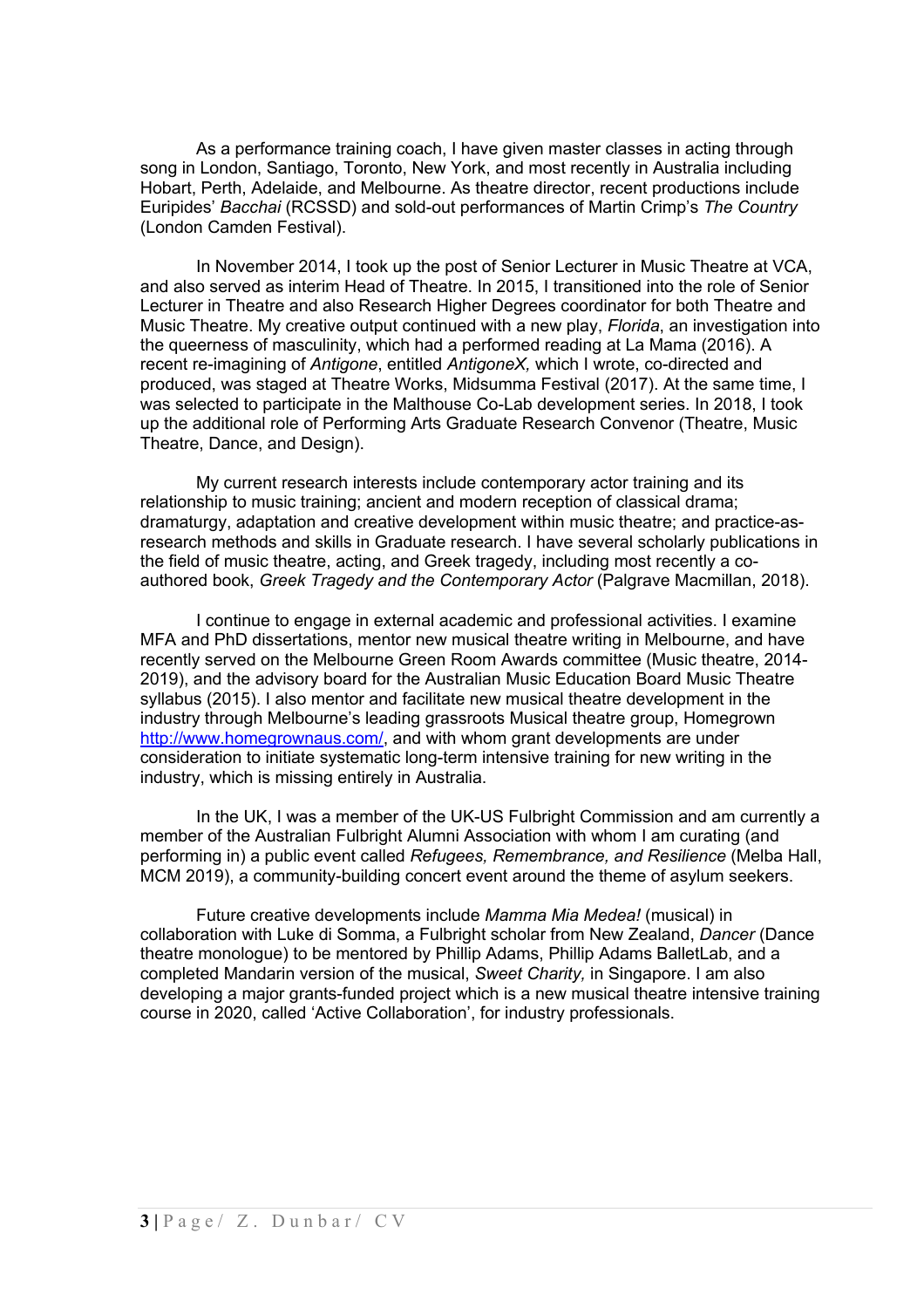As a performance training coach, I have given master classes in acting through song in London, Santiago, Toronto, New York, and most recently in Australia including Hobart, Perth, Adelaide, and Melbourne. As theatre director, recent productions include Euripides' *Bacchai* (RCSSD) and sold-out performances of Martin Crimp's *The Country* (London Camden Festival).

In November 2014, I took up the post of Senior Lecturer in Music Theatre at VCA, and also served as interim Head of Theatre. In 2015, I transitioned into the role of Senior Lecturer in Theatre and also Research Higher Degrees coordinator for both Theatre and Music Theatre. My creative output continued with a new play, *Florida*, an investigation into the queerness of masculinity, which had a performed reading at La Mama (2016). A recent re-imagining of *Antigone*, entitled *AntigoneX,* which I wrote, co-directed and produced, was staged at Theatre Works, Midsumma Festival (2017). At the same time, I was selected to participate in the Malthouse Co-Lab development series. In 2018, I took up the additional role of Performing Arts Graduate Research Convenor (Theatre, Music Theatre, Dance, and Design).

My current research interests include contemporary actor training and its relationship to music training; ancient and modern reception of classical drama; dramaturgy, adaptation and creative development within music theatre; and practice-asresearch methods and skills in Graduate research. I have several scholarly publications in the field of music theatre, acting, and Greek tragedy, including most recently a coauthored book, *Greek Tragedy and the Contemporary Actor* (Palgrave Macmillan, 2018).

I continue to engage in external academic and professional activities. I examine MFA and PhD dissertations, mentor new musical theatre writing in Melbourne, and have recently served on the Melbourne Green Room Awards committee (Music theatre, 2014- 2019), and the advisory board for the Australian Music Education Board Music Theatre syllabus (2015). I also mentor and facilitate new musical theatre development in the industry through Melbourne's leading grassroots Musical theatre group, Homegrown http://www.homegrownaus.com/, and with whom grant developments are under consideration to initiate systematic long-term intensive training for new writing in the industry, which is missing entirely in Australia.

In the UK, I was a member of the UK-US Fulbright Commission and am currently a member of the Australian Fulbright Alumni Association with whom I am curating (and performing in) a public event called *Refugees, Remembrance, and Resilience* (Melba Hall, MCM 2019), a community-building concert event around the theme of asylum seekers.

Future creative developments include *Mamma Mia Medea!* (musical) in collaboration with Luke di Somma, a Fulbright scholar from New Zealand, *Dancer* (Dance theatre monologue) to be mentored by Phillip Adams, Phillip Adams BalletLab, and a completed Mandarin version of the musical, *Sweet Charity,* in Singapore. I am also developing a major grants-funded project which is a new musical theatre intensive training course in 2020, called 'Active Collaboration', for industry professionals.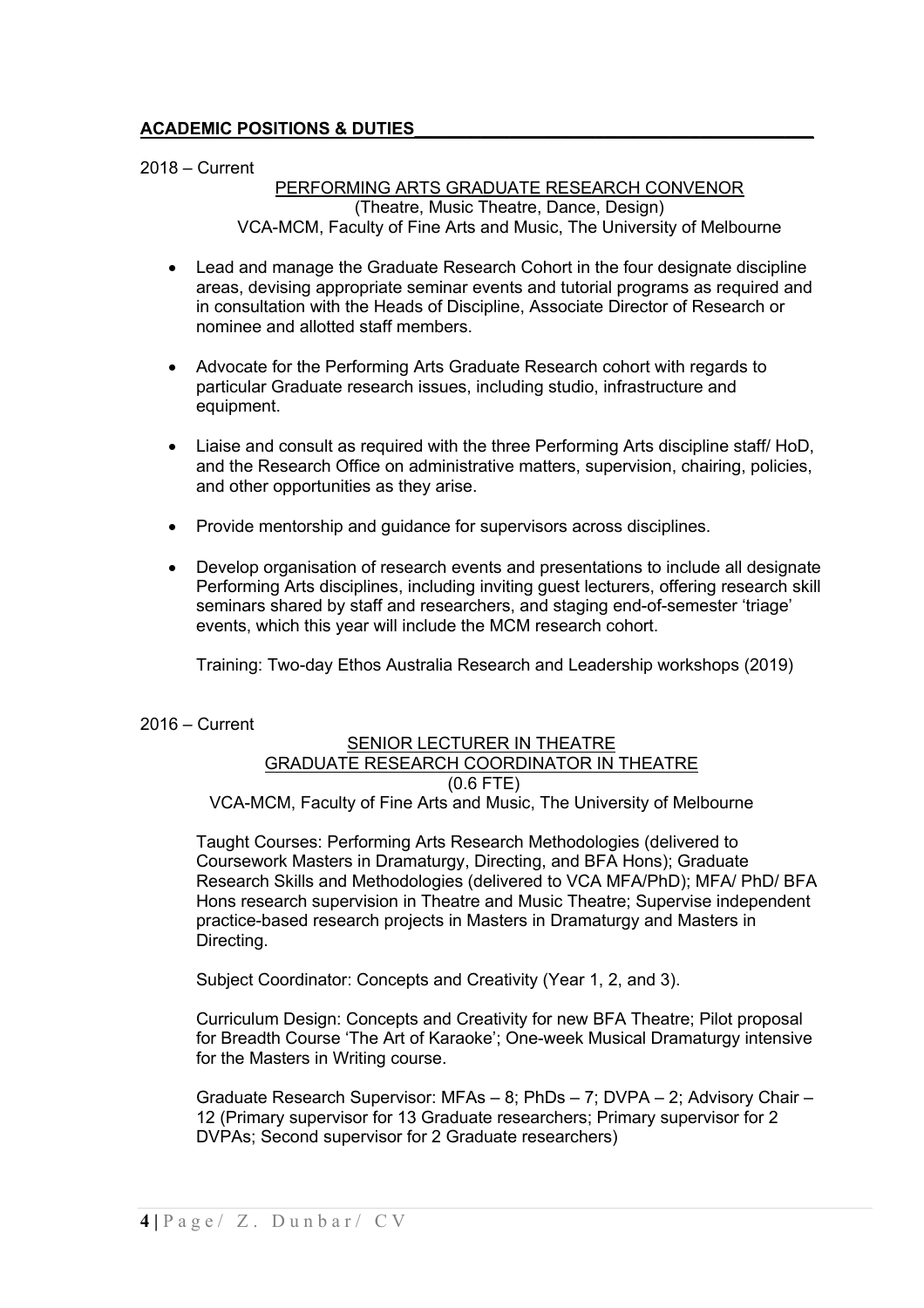### **ACADEMIC POSITIONS & DUTIES\_\_\_\_\_\_\_\_\_\_\_\_\_\_\_\_\_\_\_\_\_\_\_\_\_\_\_\_\_\_\_\_\_\_\_\_\_\_\_\_\_\_**

2018 – Current

### PERFORMING ARTS GRADUATE RESEARCH CONVENOR (Theatre, Music Theatre, Dance, Design) VCA-MCM, Faculty of Fine Arts and Music, The University of Melbourne

- Lead and manage the Graduate Research Cohort in the four designate discipline areas, devising appropriate seminar events and tutorial programs as required and in consultation with the Heads of Discipline, Associate Director of Research or nominee and allotted staff members.
- Advocate for the Performing Arts Graduate Research cohort with regards to particular Graduate research issues, including studio, infrastructure and equipment.
- Liaise and consult as required with the three Performing Arts discipline staff/ HoD, and the Research Office on administrative matters, supervision, chairing, policies, and other opportunities as they arise.
- Provide mentorship and guidance for supervisors across disciplines.
- Develop organisation of research events and presentations to include all designate Performing Arts disciplines, including inviting guest lecturers, offering research skill seminars shared by staff and researchers, and staging end-of-semester 'triage' events, which this year will include the MCM research cohort.

Training: Two-day Ethos Australia Research and Leadership workshops (2019)

2016 – Current

#### SENIOR LECTURER IN THEATRE GRADUATE RESEARCH COORDINATOR IN THEATRE (0.6 FTE) VCA-MCM, Faculty of Fine Arts and Music, The University of Melbourne

Taught Courses: Performing Arts Research Methodologies (delivered to Coursework Masters in Dramaturgy, Directing, and BFA Hons); Graduate Research Skills and Methodologies (delivered to VCA MFA/PhD); MFA/ PhD/ BFA Hons research supervision in Theatre and Music Theatre; Supervise independent practice-based research projects in Masters in Dramaturgy and Masters in Directing.

Subject Coordinator: Concepts and Creativity (Year 1, 2, and 3).

Curriculum Design: Concepts and Creativity for new BFA Theatre; Pilot proposal for Breadth Course 'The Art of Karaoke'; One-week Musical Dramaturgy intensive for the Masters in Writing course.

Graduate Research Supervisor: MFAs – 8; PhDs – 7; DVPA – 2; Advisory Chair – 12 (Primary supervisor for 13 Graduate researchers; Primary supervisor for 2 DVPAs; Second supervisor for 2 Graduate researchers)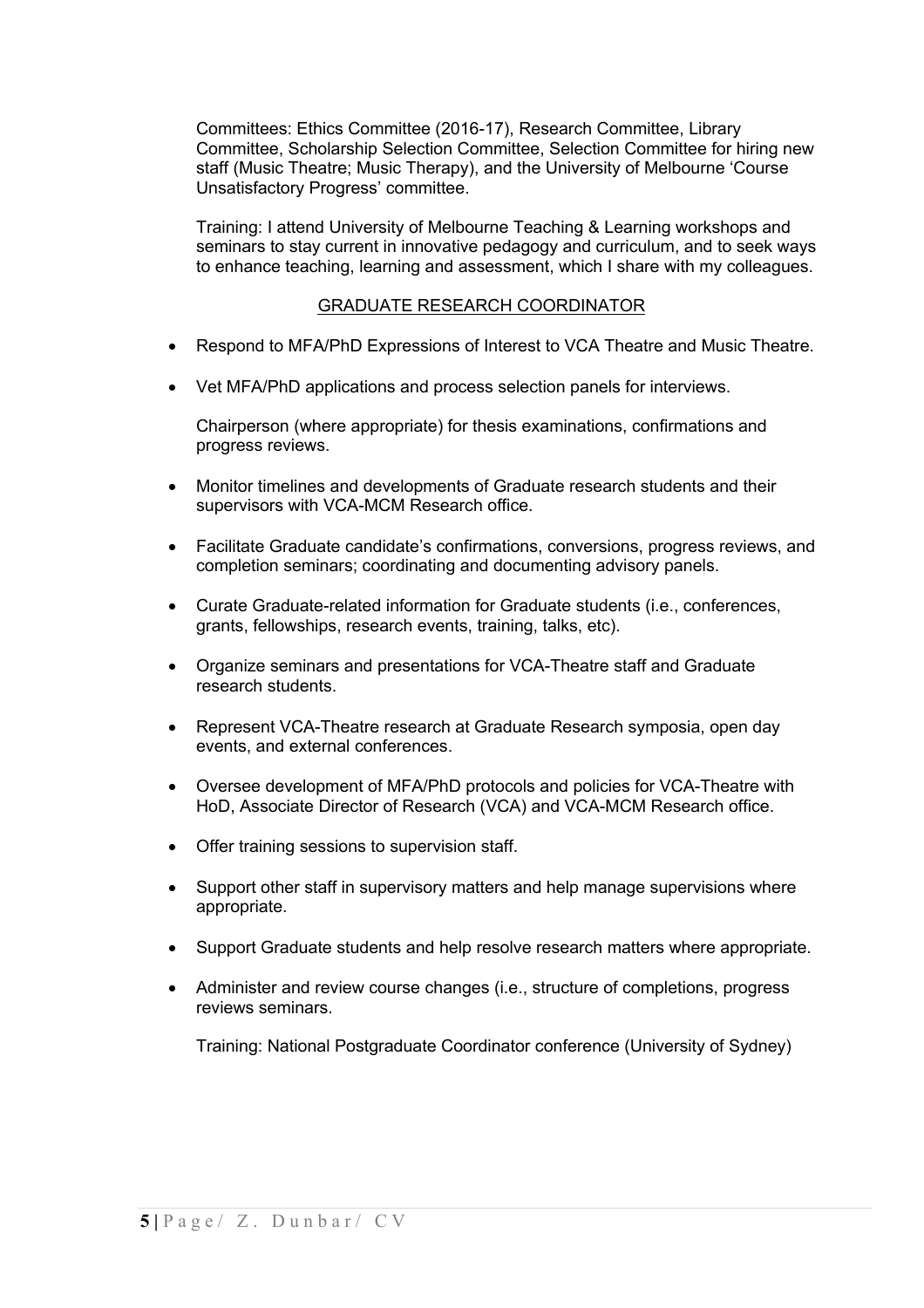Committees: Ethics Committee (2016-17), Research Committee, Library Committee, Scholarship Selection Committee, Selection Committee for hiring new staff (Music Theatre; Music Therapy), and the University of Melbourne 'Course Unsatisfactory Progress' committee.

Training: I attend University of Melbourne Teaching & Learning workshops and seminars to stay current in innovative pedagogy and curriculum, and to seek ways to enhance teaching, learning and assessment, which I share with my colleagues.

### GRADUATE RESEARCH COORDINATOR

- Respond to MFA/PhD Expressions of Interest to VCA Theatre and Music Theatre.
- Vet MFA/PhD applications and process selection panels for interviews.

Chairperson (where appropriate) for thesis examinations, confirmations and progress reviews.

- Monitor timelines and developments of Graduate research students and their supervisors with VCA-MCM Research office.
- Facilitate Graduate candidate's confirmations, conversions, progress reviews, and completion seminars; coordinating and documenting advisory panels.
- Curate Graduate-related information for Graduate students (i.e., conferences, grants, fellowships, research events, training, talks, etc).
- Organize seminars and presentations for VCA-Theatre staff and Graduate research students.
- Represent VCA-Theatre research at Graduate Research symposia, open day events, and external conferences.
- Oversee development of MFA/PhD protocols and policies for VCA-Theatre with HoD, Associate Director of Research (VCA) and VCA-MCM Research office.
- Offer training sessions to supervision staff.
- Support other staff in supervisory matters and help manage supervisions where appropriate.
- Support Graduate students and help resolve research matters where appropriate.
- Administer and review course changes (i.e., structure of completions, progress reviews seminars.

Training: National Postgraduate Coordinator conference (University of Sydney)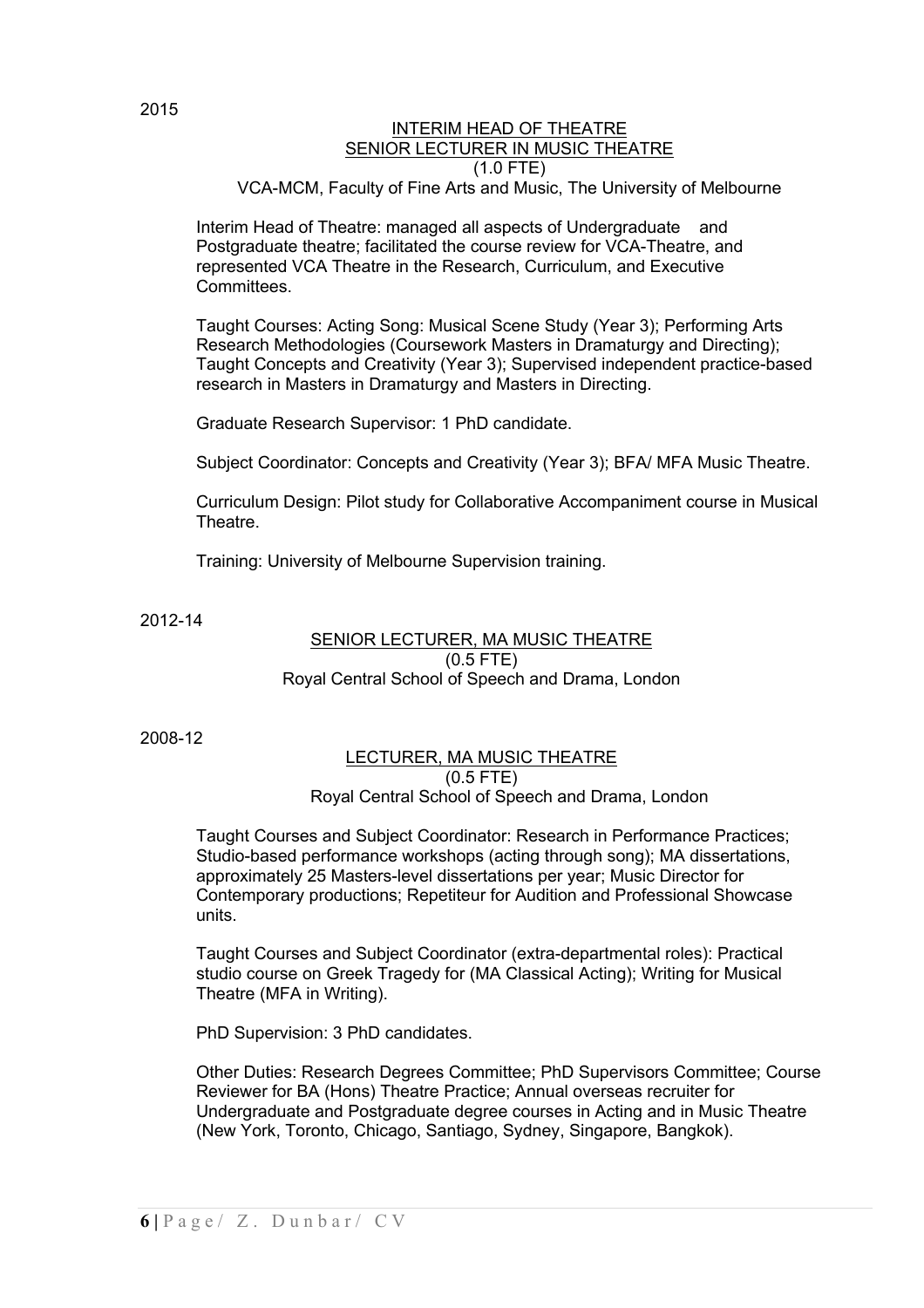#### INTERIM HEAD OF THEATRE SENIOR LECTURER IN MUSIC THEATRE (1.0 FTE) VCA-MCM, Faculty of Fine Arts and Music, The University of Melbourne

Interim Head of Theatre: managed all aspects of Undergraduate and Postgraduate theatre; facilitated the course review for VCA-Theatre, and represented VCA Theatre in the Research, Curriculum, and Executive Committees.

Taught Courses: Acting Song: Musical Scene Study (Year 3); Performing Arts Research Methodologies (Coursework Masters in Dramaturgy and Directing); Taught Concepts and Creativity (Year 3); Supervised independent practice-based research in Masters in Dramaturgy and Masters in Directing.

Graduate Research Supervisor: 1 PhD candidate.

Subject Coordinator: Concepts and Creativity (Year 3); BFA/ MFA Music Theatre.

Curriculum Design: Pilot study for Collaborative Accompaniment course in Musical **Theatre** 

Training: University of Melbourne Supervision training.

2012-14

#### SENIOR LECTURER, MA MUSIC THEATRE (0.5 FTE) Royal Central School of Speech and Drama, London

2008-12

#### LECTURER, MA MUSIC THEATRE  $(0.5$  FTE)

Royal Central School of Speech and Drama, London

Taught Courses and Subject Coordinator: Research in Performance Practices; Studio-based performance workshops (acting through song); MA dissertations, approximately 25 Masters-level dissertations per year; Music Director for Contemporary productions; Repetiteur for Audition and Professional Showcase units.

Taught Courses and Subject Coordinator (extra-departmental roles): Practical studio course on Greek Tragedy for (MA Classical Acting); Writing for Musical Theatre (MFA in Writing).

PhD Supervision: 3 PhD candidates.

Other Duties: Research Degrees Committee; PhD Supervisors Committee; Course Reviewer for BA (Hons) Theatre Practice; Annual overseas recruiter for Undergraduate and Postgraduate degree courses in Acting and in Music Theatre (New York, Toronto, Chicago, Santiago, Sydney, Singapore, Bangkok).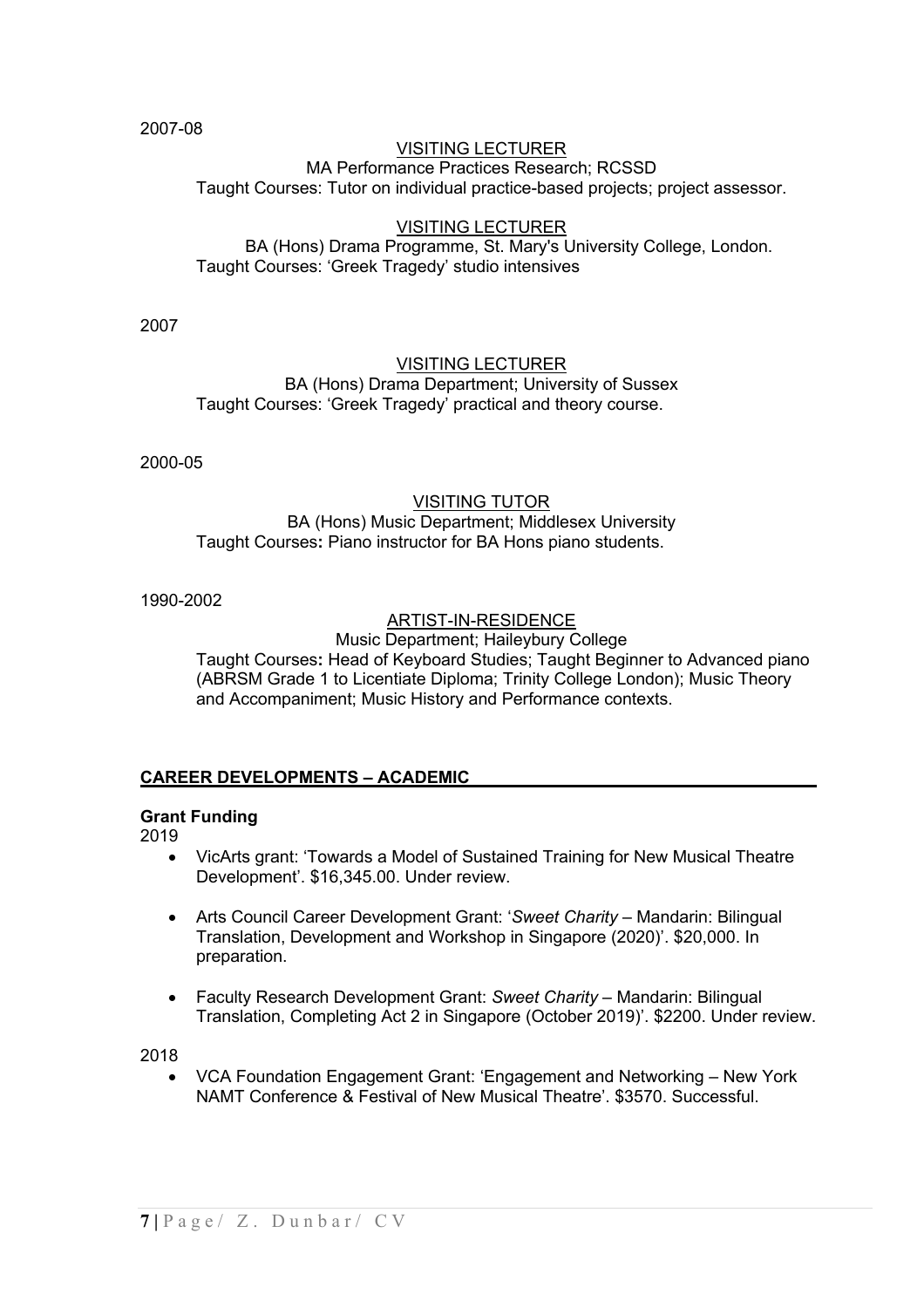2007-08

#### VISITING LECTURER MA Performance Practices Research; RCSSD Taught Courses: Tutor on individual practice-based projects; project assessor.

#### VISITING LECTURER BA (Hons) Drama Programme, St. Mary's University College, London. Taught Courses: 'Greek Tragedy' studio intensives

2007

#### VISITING LECTURER BA (Hons) Drama Department; University of Sussex Taught Courses: 'Greek Tragedy' practical and theory course.

2000-05

### VISITING TUTOR BA (Hons) Music Department; Middlesex University Taught Courses**:** Piano instructor for BA Hons piano students.

1990-2002

# ARTIST-IN-RESIDENCE

Music Department; Haileybury College Taught Courses**:** Head of Keyboard Studies; Taught Beginner to Advanced piano (ABRSM Grade 1 to Licentiate Diploma; Trinity College London); Music Theory and Accompaniment; Music History and Performance contexts.

# **CAREER DEVELOPMENTS – ACADEMIC\_\_\_\_\_\_\_\_\_\_\_\_\_\_\_\_\_\_\_\_\_\_\_\_\_\_\_\_\_\_\_\_\_ \_\_\_**

### **Grant Funding**

2019

- VicArts grant: 'Towards a Model of Sustained Training for New Musical Theatre Development'. \$16,345.00. Under review.
- Arts Council Career Development Grant: '*Sweet Charity* Mandarin: Bilingual Translation, Development and Workshop in Singapore (2020)'. \$20,000. In preparation.
- Faculty Research Development Grant: *Sweet Charity* Mandarin: Bilingual Translation, Completing Act 2 in Singapore (October 2019)'. \$2200. Under review.

2018

• VCA Foundation Engagement Grant: 'Engagement and Networking – New York NAMT Conference & Festival of New Musical Theatre'. \$3570. Successful.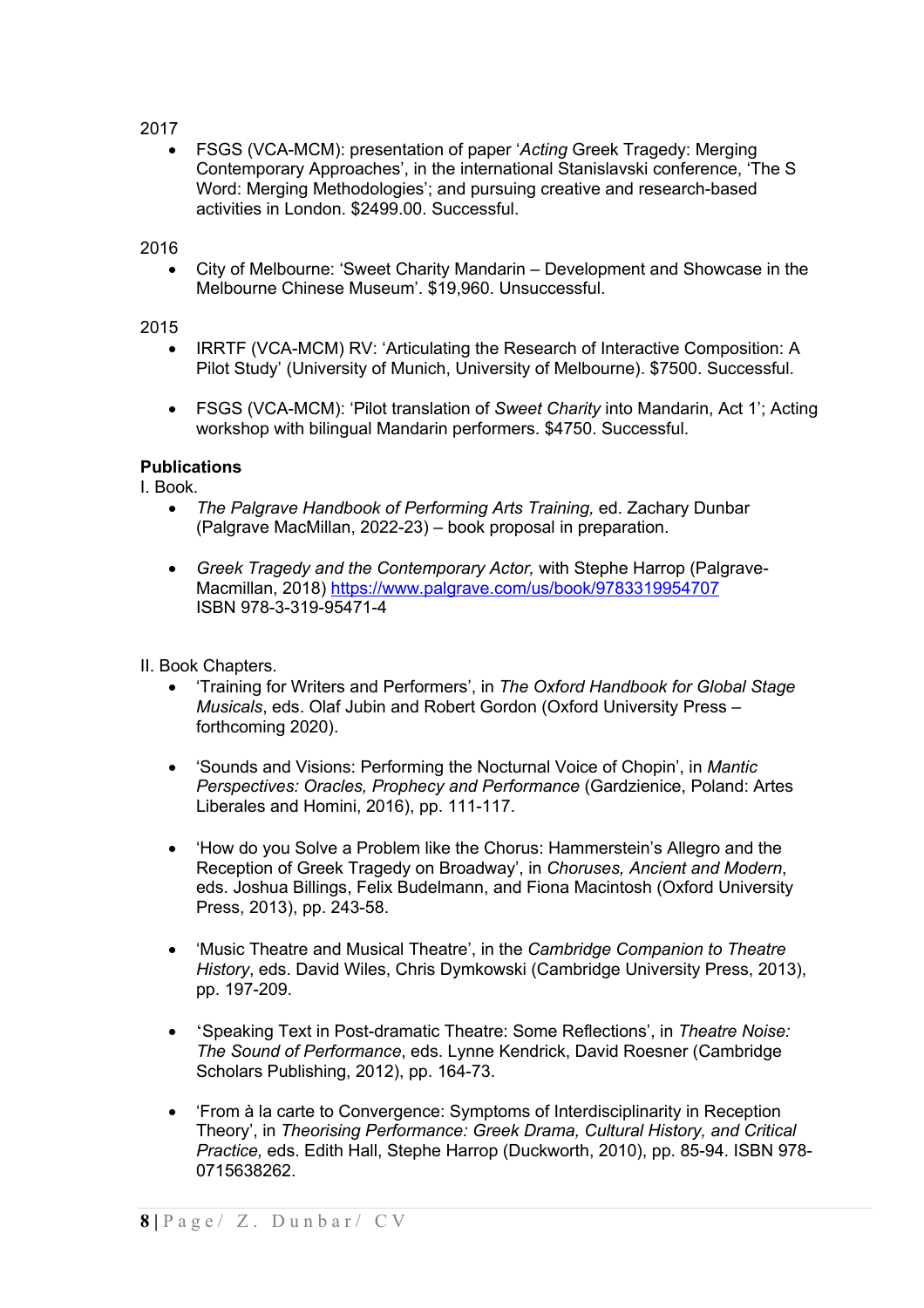### 2017

• FSGS (VCA-MCM): presentation of paper '*Acting* Greek Tragedy: Merging Contemporary Approaches', in the international Stanislavski conference, 'The S Word: Merging Methodologies'; and pursuing creative and research-based activities in London. \$2499.00. Successful.

### 2016

• City of Melbourne: 'Sweet Charity Mandarin – Development and Showcase in the Melbourne Chinese Museum'. \$19,960. Unsuccessful.

### 2015

- IRRTF (VCA-MCM) RV: 'Articulating the Research of Interactive Composition: A Pilot Study' (University of Munich, University of Melbourne). \$7500. Successful.
- FSGS (VCA-MCM): 'Pilot translation of *Sweet Charity* into Mandarin, Act 1'; Acting workshop with bilingual Mandarin performers. \$4750. Successful.

### **Publications**

I. Book.

- *The Palgrave Handbook of Performing Arts Training,* ed. Zachary Dunbar (Palgrave MacMillan, 2022-23) – book proposal in preparation.
- *Greek Tragedy and the Contemporary Actor,* with Stephe Harrop (Palgrave-Macmillan, 2018) https://www.palgrave.com/us/book/9783319954707 ISBN 978-3-319-95471-4
- II. Book Chapters.
	- 'Training for Writers and Performers', in *The Oxford Handbook for Global Stage Musicals*, eds. Olaf Jubin and Robert Gordon (Oxford University Press – forthcoming 2020).
	- 'Sounds and Visions: Performing the Nocturnal Voice of Chopin', in *Mantic Perspectives: Oracles, Prophecy and Performance* (Gardzienice, Poland: Artes Liberales and Homini, 2016), pp. 111-117.
	- 'How do you Solve a Problem like the Chorus: Hammerstein's Allegro and the Reception of Greek Tragedy on Broadway', in *Choruses, Ancient and Modern*, eds. Joshua Billings, Felix Budelmann, and Fiona Macintosh (Oxford University Press, 2013), pp. 243-58.
	- 'Music Theatre and Musical Theatre', in the *Cambridge Companion to Theatre History*, eds. David Wiles, Chris Dymkowski (Cambridge University Press, 2013), pp. 197-209.
	- 'Speaking Text in Post-dramatic Theatre: Some Reflections', in *Theatre Noise: The Sound of Performance*, eds. Lynne Kendrick, David Roesner (Cambridge Scholars Publishing, 2012), pp. 164-73.
	- 'From à la carte to Convergence: Symptoms of Interdisciplinarity in Reception Theory', in *Theorising Performance: Greek Drama, Cultural History, and Critical Practice,* eds. Edith Hall, Stephe Harrop (Duckworth, 2010), pp. 85-94. ISBN 978- 0715638262.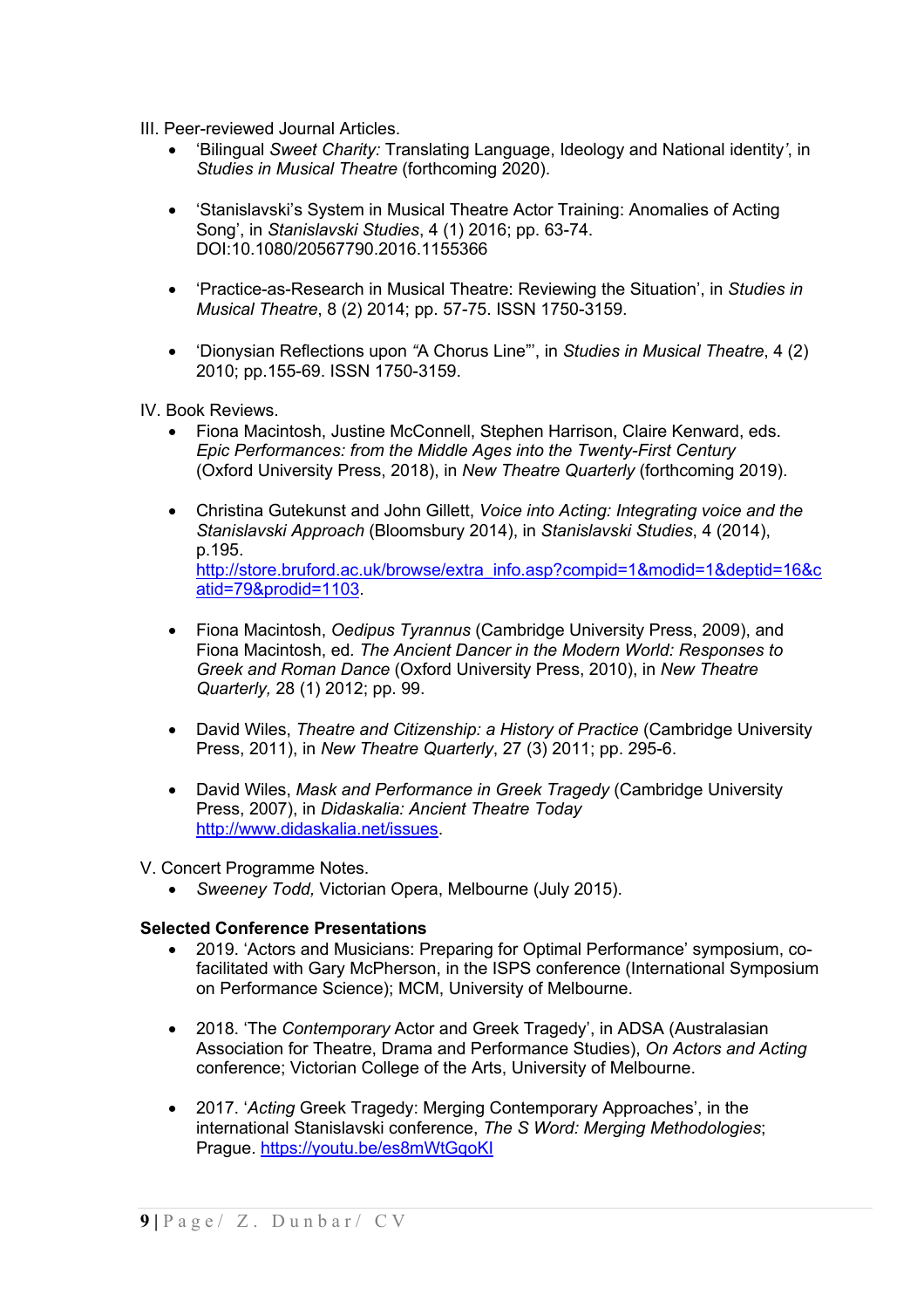III. Peer-reviewed Journal Articles.

- 'Bilingual *Sweet Charity:* Translating Language, Ideology and National identity*'*, in *Studies in Musical Theatre* (forthcoming 2020).
- 'Stanislavski's System in Musical Theatre Actor Training: Anomalies of Acting Song', in *Stanislavski Studies*, 4 (1) 2016; pp. 63-74. DOI:10.1080/20567790.2016.1155366
- 'Practice-as-Research in Musical Theatre: Reviewing the Situation', in *Studies in Musical Theatre*, 8 (2) 2014; pp. 57-75. ISSN 1750-3159.
- 'Dionysian Reflections upon *"*A Chorus Line"', in *Studies in Musical Theatre*, 4 (2) 2010; pp.155-69. ISSN 1750-3159.

IV. Book Reviews.

- Fiona Macintosh, Justine McConnell, Stephen Harrison, Claire Kenward, eds. *Epic Performances: from the Middle Ages into the Twenty-First Century* (Oxford University Press, 2018), in *New Theatre Quarterly* (forthcoming 2019).
- Christina Gutekunst and John Gillett, *Voice into Acting: Integrating voice and the Stanislavski Approach* (Bloomsbury 2014), in *Stanislavski Studies*, 4 (2014), p.195. http://store.bruford.ac.uk/browse/extra\_info.asp?compid=1&modid=1&deptid=16&c atid=79&prodid=1103.
- Fiona Macintosh, *Oedipus Tyrannus* (Cambridge University Press, 2009), and Fiona Macintosh, ed*. The Ancient Dancer in the Modern World: Responses to Greek and Roman Dance* (Oxford University Press, 2010), in *New Theatre Quarterly,* 28 (1) 2012; pp. 99.
- David Wiles, *Theatre and Citizenship: a History of Practice* (Cambridge University Press, 2011), in *New Theatre Quarterly*, 27 (3) 2011; pp. 295-6.
- David Wiles, *Mask and Performance in Greek Tragedy* (Cambridge University Press, 2007), in *Didaskalia: Ancient Theatre Today* http://www.didaskalia.net/issues.
- V. Concert Programme Notes.
	- *Sweeney Todd,* Victorian Opera, Melbourne (July 2015).

### **Selected Conference Presentations**

- 2019. 'Actors and Musicians: Preparing for Optimal Performance' symposium, cofacilitated with Gary McPherson, in the ISPS conference (International Symposium on Performance Science); MCM, University of Melbourne.
- 2018. 'The *Contemporary* Actor and Greek Tragedy', in ADSA (Australasian Association for Theatre, Drama and Performance Studies), *On Actors and Acting* conference; Victorian College of the Arts, University of Melbourne.
- 2017. '*Acting* Greek Tragedy: Merging Contemporary Approaches', in the international Stanislavski conference, *The S Word: Merging Methodologies*; Prague. https://youtu.be/es8mWtGqoKI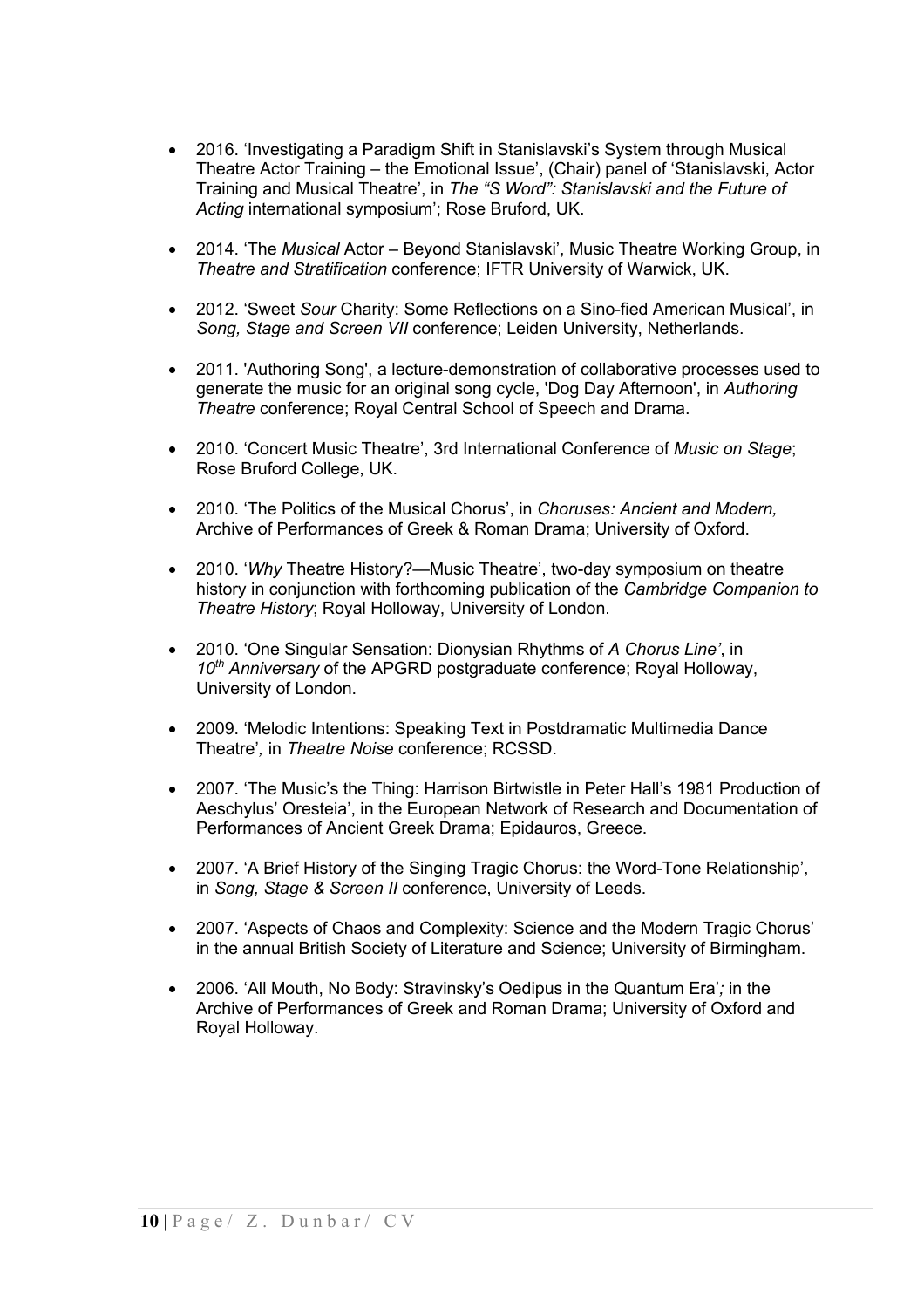- 2016. 'Investigating a Paradigm Shift in Stanislavski's System through Musical Theatre Actor Training – the Emotional Issue', (Chair) panel of 'Stanislavski, Actor Training and Musical Theatre', in *The "S Word": Stanislavski and the Future of Acting* international symposium'; Rose Bruford, UK.
- 2014. 'The *Musical* Actor Beyond Stanislavski', Music Theatre Working Group, in *Theatre and Stratification* conference; IFTR University of Warwick, UK.
- 2012. 'Sweet *Sour* Charity: Some Reflections on a Sino-fied American Musical', in *Song, Stage and Screen VII* conference; Leiden University, Netherlands.
- 2011. 'Authoring Song', a lecture-demonstration of collaborative processes used to generate the music for an original song cycle, 'Dog Day Afternoon', in *Authoring Theatre* conference; Royal Central School of Speech and Drama.
- 2010. 'Concert Music Theatre', 3rd International Conference of *Music on Stage*; Rose Bruford College, UK.
- 2010. 'The Politics of the Musical Chorus', in *Choruses: Ancient and Modern,*  Archive of Performances of Greek & Roman Drama; University of Oxford.
- 2010. '*Why* Theatre History?—Music Theatre', two-day symposium on theatre history in conjunction with forthcoming publication of the *Cambridge Companion to Theatre History*; Royal Holloway, University of London.
- 2010. 'One Singular Sensation: Dionysian Rhythms of *A Chorus Line'*, in *10th Anniversary* of the APGRD postgraduate conference; Royal Holloway, University of London.
- 2009. 'Melodic Intentions: Speaking Text in Postdramatic Multimedia Dance Theatre'*,* in *Theatre Noise* conference; RCSSD.
- 2007. 'The Music's the Thing: Harrison Birtwistle in Peter Hall's 1981 Production of Aeschylus' Oresteia', in the European Network of Research and Documentation of Performances of Ancient Greek Drama; Epidauros, Greece.
- 2007. 'A Brief History of the Singing Tragic Chorus: the Word-Tone Relationship', in *Song, Stage & Screen II* conference, University of Leeds.
- 2007. 'Aspects of Chaos and Complexity: Science and the Modern Tragic Chorus' in the annual British Society of Literature and Science; University of Birmingham.
- 2006. 'All Mouth, No Body: Stravinsky's Oedipus in the Quantum Era'*;* in the Archive of Performances of Greek and Roman Drama; University of Oxford and Royal Holloway.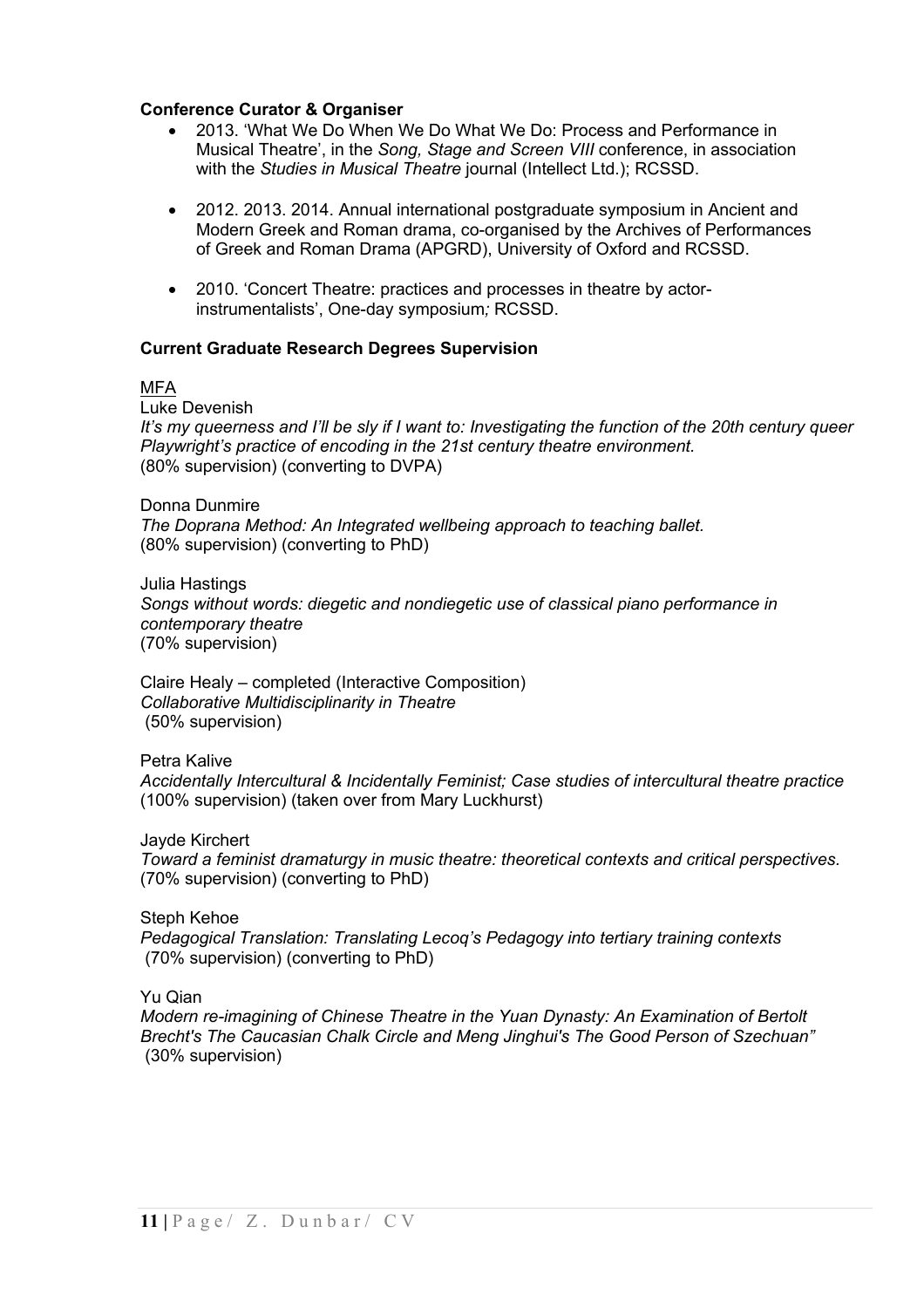### **Conference Curator & Organiser**

- 2013. 'What We Do When We Do What We Do: Process and Performance in Musical Theatre', in the *Song, Stage and Screen VIII* conference, in association with the *Studies in Musical Theatre* journal (Intellect Ltd.); RCSSD.
- 2012. 2013. 2014. Annual international postgraduate symposium in Ancient and Modern Greek and Roman drama, co-organised by the Archives of Performances of Greek and Roman Drama (APGRD), University of Oxford and RCSSD.
- 2010. 'Concert Theatre: practices and processes in theatre by actorinstrumentalists', One-day symposium*;* RCSSD.

### **Current Graduate Research Degrees Supervision**

### **MFA**

Luke Devenish

*It's my queerness and I'll be sly if I want to: Investigating the function of the 20th century queer Playwright's practice of encoding in the 21st century theatre environment.* (80% supervision) (converting to DVPA)

Donna Dunmire *The Doprana Method: An Integrated wellbeing approach to teaching ballet.* (80% supervision) (converting to PhD)

Julia Hastings *Songs without words: diegetic and nondiegetic use of classical piano performance in contemporary theatre* (70% supervision)

Claire Healy – completed (Interactive Composition) *Collaborative Multidisciplinarity in Theatre* (50% supervision)

Petra Kalive

*Accidentally Intercultural & Incidentally Feminist; Case studies of intercultural theatre practice* (100% supervision) (taken over from Mary Luckhurst)

Jayde Kirchert

*Toward a feminist dramaturgy in music theatre: theoretical contexts and critical perspectives.* (70% supervision) (converting to PhD)

Steph Kehoe *Pedagogical Translation: Translating Lecoq's Pedagogy into tertiary training contexts* (70% supervision) (converting to PhD)

Yu Qian

*Modern re-imagining of Chinese Theatre in the Yuan Dynasty: An Examination of Bertolt Brecht's The Caucasian Chalk Circle and Meng Jinghui's The Good Person of Szechuan"* (30% supervision)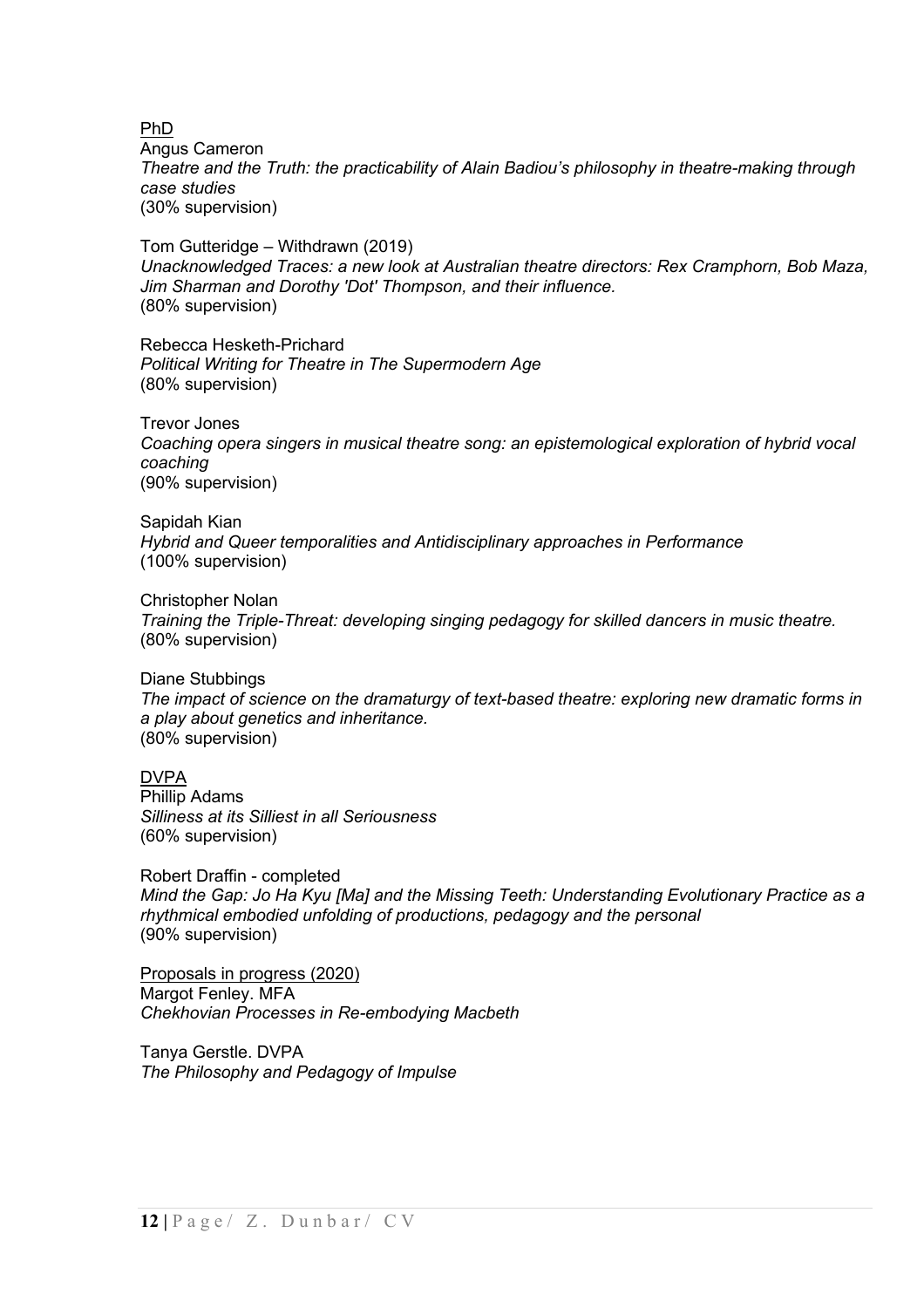PhD

Angus Cameron *Theatre and the Truth: the practicability of Alain Badiou's philosophy in theatre-making through case studies* (30% supervision)

Tom Gutteridge – Withdrawn (2019) *Unacknowledged Traces: a new look at Australian theatre directors: Rex Cramphorn, Bob Maza, Jim Sharman and Dorothy 'Dot' Thompson, and their influence.* (80% supervision)

Rebecca Hesketh-Prichard *Political Writing for Theatre in The Supermodern Age* (80% supervision)

Trevor Jones *Coaching opera singers in musical theatre song: an epistemological exploration of hybrid vocal coaching* (90% supervision)

Sapidah Kian *Hybrid and Queer temporalities and Antidisciplinary approaches in Performance* (100% supervision)

Christopher Nolan *Training the Triple-Threat: developing singing pedagogy for skilled dancers in music theatre.* (80% supervision)

Diane Stubbings *The impact of science on the dramaturgy of text-based theatre: exploring new dramatic forms in a play about genetics and inheritance.* (80% supervision)

DVPA Phillip Adams *Silliness at its Silliest in all Seriousness*  (60% supervision)

Robert Draffin - completed *Mind the Gap: Jo Ha Kyu [Ma] and the Missing Teeth: Understanding Evolutionary Practice as a rhythmical embodied unfolding of productions, pedagogy and the personal* (90% supervision)

Proposals in progress (2020) Margot Fenley. MFA *Chekhovian Processes in Re-embodying Macbeth*

Tanya Gerstle. DVPA *The Philosophy and Pedagogy of Impulse*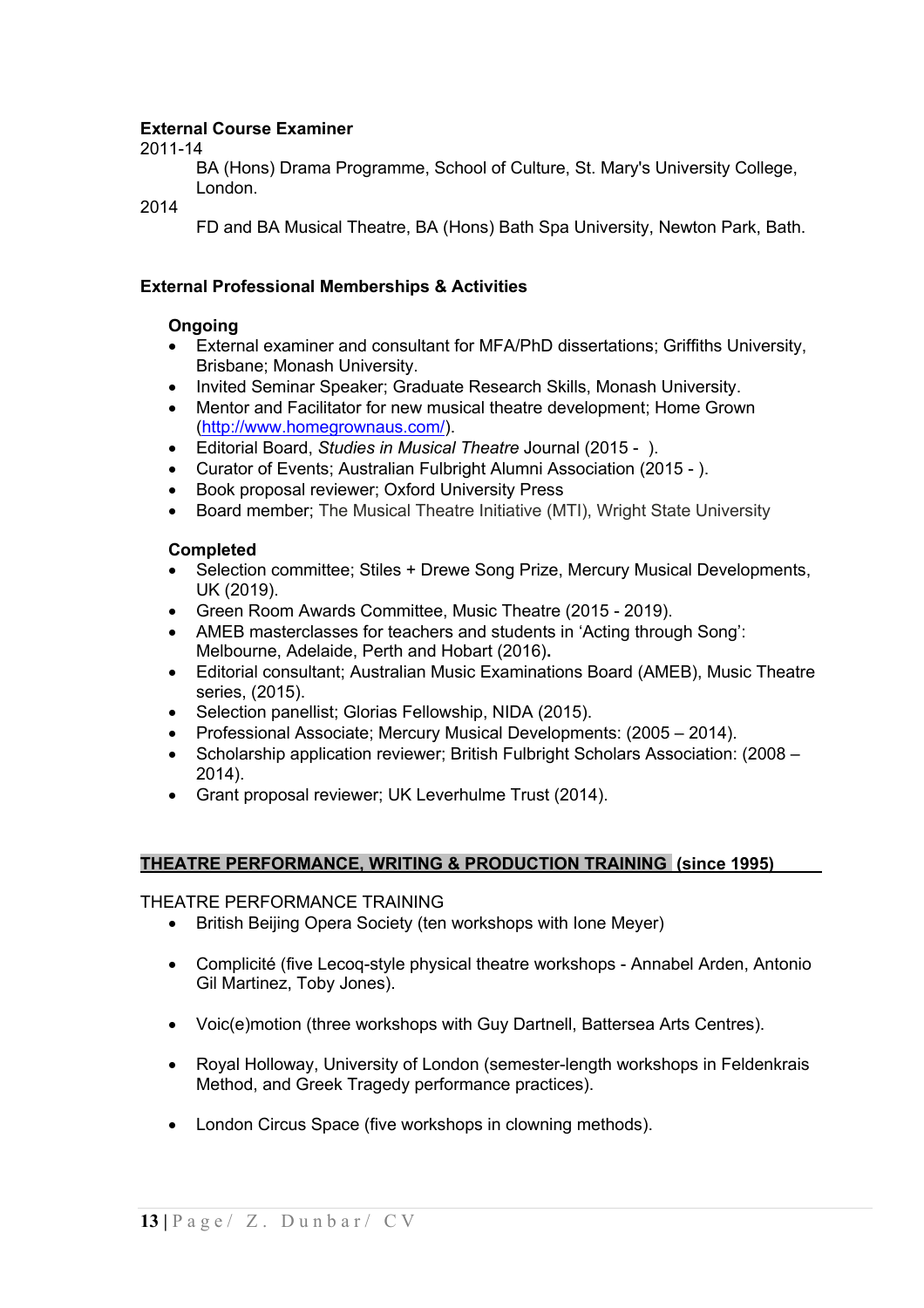### **External Course Examiner**

2011-14

BA (Hons) Drama Programme, School of Culture, St. Mary's University College, London.

2014

FD and BA Musical Theatre, BA (Hons) Bath Spa University, Newton Park, Bath.

### **External Professional Memberships & Activities**

### **Ongoing**

- External examiner and consultant for MFA/PhD dissertations; Griffiths University, Brisbane; Monash University.
- Invited Seminar Speaker; Graduate Research Skills, Monash University.
- Mentor and Facilitator for new musical theatre development; Home Grown (http://www.homegrownaus.com/).
- Editorial Board, *Studies in Musical Theatre* Journal (2015 ).
- Curator of Events; Australian Fulbright Alumni Association (2015 ).
- Book proposal reviewer; Oxford University Press
- Board member; The Musical Theatre Initiative (MTI), Wright State University

### **Completed**

- Selection committee; Stiles + Drewe Song Prize, Mercury Musical Developments, UK (2019).
- Green Room Awards Committee, Music Theatre (2015 2019).
- AMEB masterclasses for teachers and students in 'Acting through Song': Melbourne, Adelaide, Perth and Hobart (2016)**.**
- Editorial consultant; Australian Music Examinations Board (AMEB), Music Theatre series, (2015).
- Selection panellist; Glorias Fellowship, NIDA (2015).
- Professional Associate; Mercury Musical Developments: (2005 2014).
- Scholarship application reviewer; British Fulbright Scholars Association: (2008 2014).
- Grant proposal reviewer; UK Leverhulme Trust (2014).

### **THEATRE PERFORMANCE, WRITING & PRODUCTION TRAINING (since 1995)\_\_\_\_\_**

THEATRE PERFORMANCE TRAINING

- British Beijing Opera Society (ten workshops with Ione Meyer)
- Complicité (five Lecoq-style physical theatre workshops Annabel Arden, Antonio Gil Martinez, Toby Jones).
- Voic(e)motion (three workshops with Guy Dartnell, Battersea Arts Centres).
- Royal Holloway, University of London (semester-length workshops in Feldenkrais Method, and Greek Tragedy performance practices).
- London Circus Space (five workshops in clowning methods).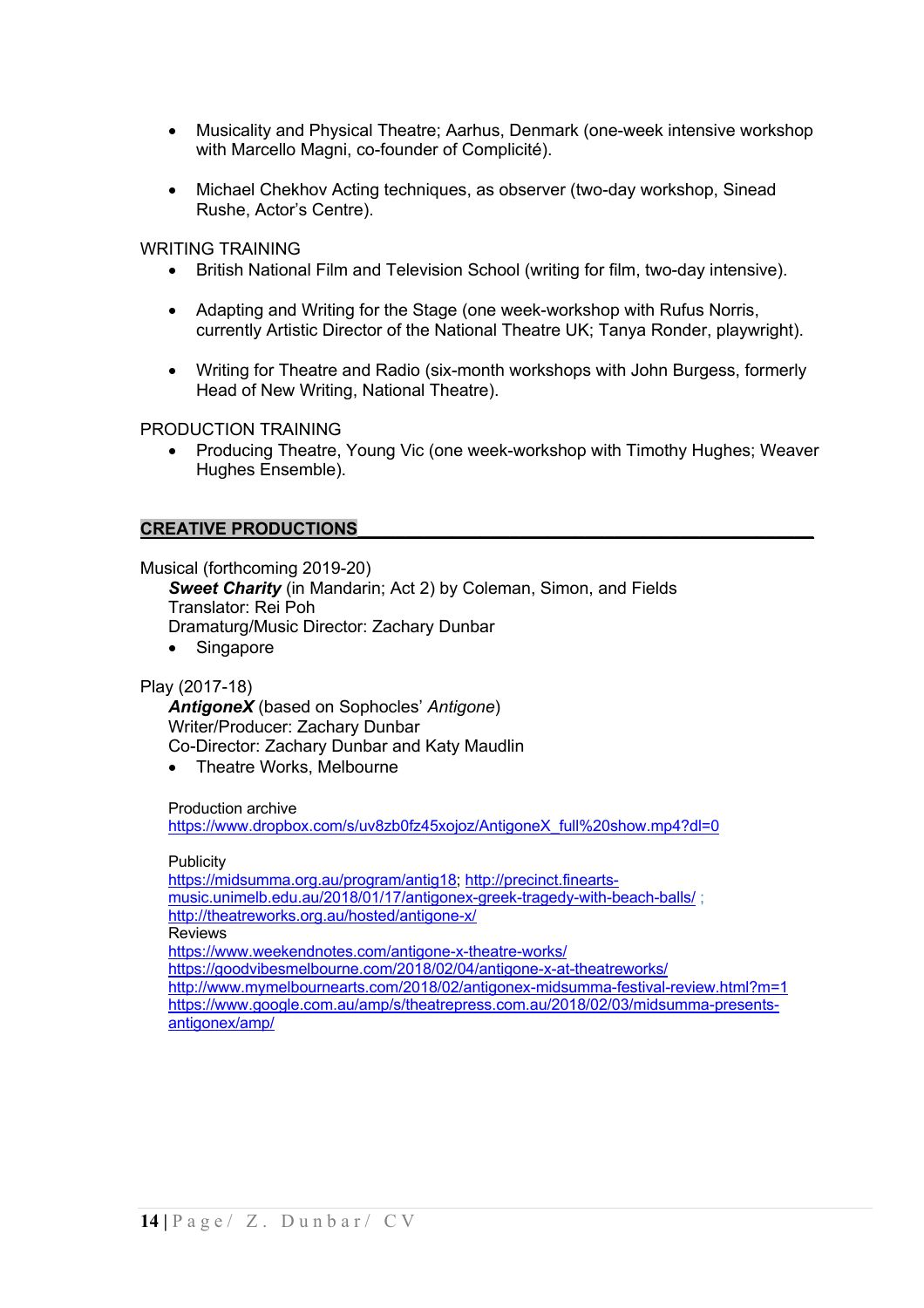- Musicality and Physical Theatre; Aarhus, Denmark (one-week intensive workshop with Marcello Magni, co-founder of Complicité).
- Michael Chekhov Acting techniques, as observer (two-day workshop, Sinead Rushe, Actor's Centre).

WRITING TRAINING

- British National Film and Television School (writing for film, two-day intensive).
- Adapting and Writing for the Stage (one week-workshop with Rufus Norris, currently Artistic Director of the National Theatre UK; Tanya Ronder, playwright).
- Writing for Theatre and Radio (six-month workshops with John Burgess, formerly Head of New Writing, National Theatre).

PRODUCTION TRAINING

• Producing Theatre, Young Vic (one week-workshop with Timothy Hughes; Weaver Hughes Ensemble).

#### **CREATIVE PRODUCTIONS\_\_\_\_\_\_\_\_\_\_\_\_\_\_\_\_\_\_\_\_\_\_\_\_\_\_\_\_\_\_\_\_\_\_\_\_\_\_\_\_\_\_\_\_\_\_\_\_**

Musical (forthcoming 2019-20)

**Sweet Charity** (in Mandarin: Act 2) by Coleman, Simon, and Fields Translator: Rei Poh Dramaturg/Music Director: Zachary Dunbar

• Singapore

Play (2017-18)

*AntigoneX* (based on Sophocles' *Antigone*) Writer/Producer: Zachary Dunbar Co-Director: Zachary Dunbar and Katy Maudlin

• Theatre Works, Melbourne

Production archive

https://www.dropbox.com/s/uv8zb0fz45xojoz/AntigoneX\_full%20show.mp4?dl=0

**Publicity** 

https://midsumma.org.au/program/antig18; http://precinct.fineartsmusic.unimelb.edu.au/2018/01/17/antigonex-greek-tragedy-with-beach-balls/ ; http://theatreworks.org.au/hosted/antigone-x/ **Reviews** https://www.weekendnotes.com/antigone-x-theatre-works/ https://goodvibesmelbourne.com/2018/02/04/antigone-x-at-theatreworks/ http://www.mymelbournearts.com/2018/02/antigonex-midsumma-festival-review.html?m=1 https://www.google.com.au/amp/s/theatrepress.com.au/2018/02/03/midsumma-presentsantigonex/amp/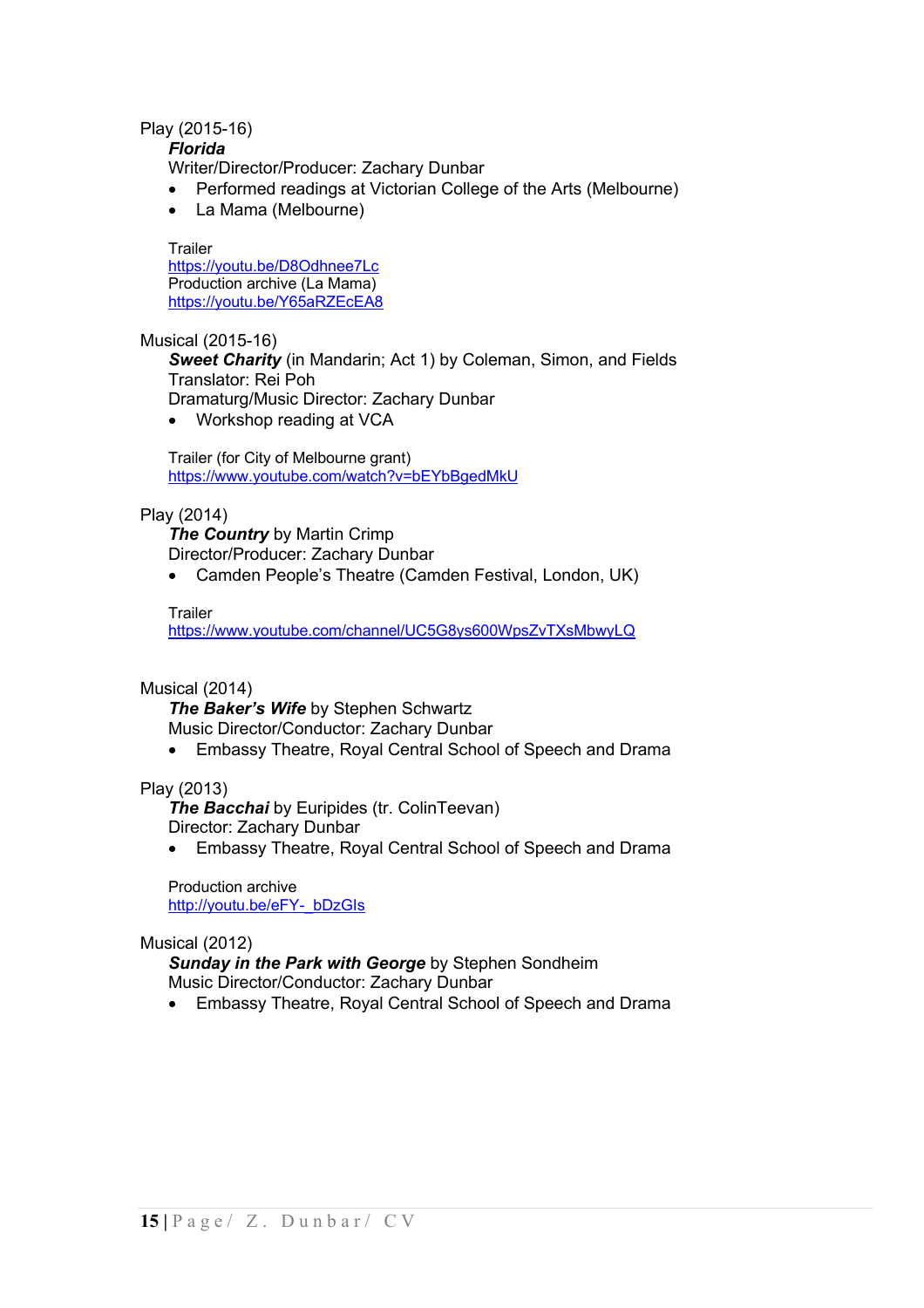### Play (2015-16)

*Florida*

Writer/Director/Producer: Zachary Dunbar

- Performed readings at Victorian College of the Arts (Melbourne)
- La Mama (Melbourne)

**Trailer** https://youtu.be/D8Odhnee7Lc Production archive (La Mama) https://youtu.be/Y65aRZEcEA8

Musical (2015-16)

*Sweet Charity* (in Mandarin; Act 1) by Coleman, Simon, and Fields Translator: Rei Poh

Dramaturg/Music Director: Zachary Dunbar

• Workshop reading at VCA

Trailer (for City of Melbourne grant) https://www.youtube.com/watch?v=bEYbBgedMkU

### Play (2014)

*The Country* by Martin Crimp Director/Producer: Zachary Dunbar

• Camden People's Theatre (Camden Festival, London, UK)

### Trailer

https://www.youtube.com/channel/UC5G8ys600WpsZvTXsMbwyLQ

### Musical (2014)

*The Baker's Wife* by Stephen Schwartz Music Director/Conductor: Zachary Dunbar

• Embassy Theatre, Royal Central School of Speech and Drama

### Play (2013)

*The Bacchai* by Euripides (tr. ColinTeevan) Director: Zachary Dunbar

• Embassy Theatre, Royal Central School of Speech and Drama

Production archive http://youtu.be/eFY-\_bDzGIs

### Musical (2012)

*Sunday in the Park with George* by Stephen Sondheim Music Director/Conductor: Zachary Dunbar

• Embassy Theatre, Royal Central School of Speech and Drama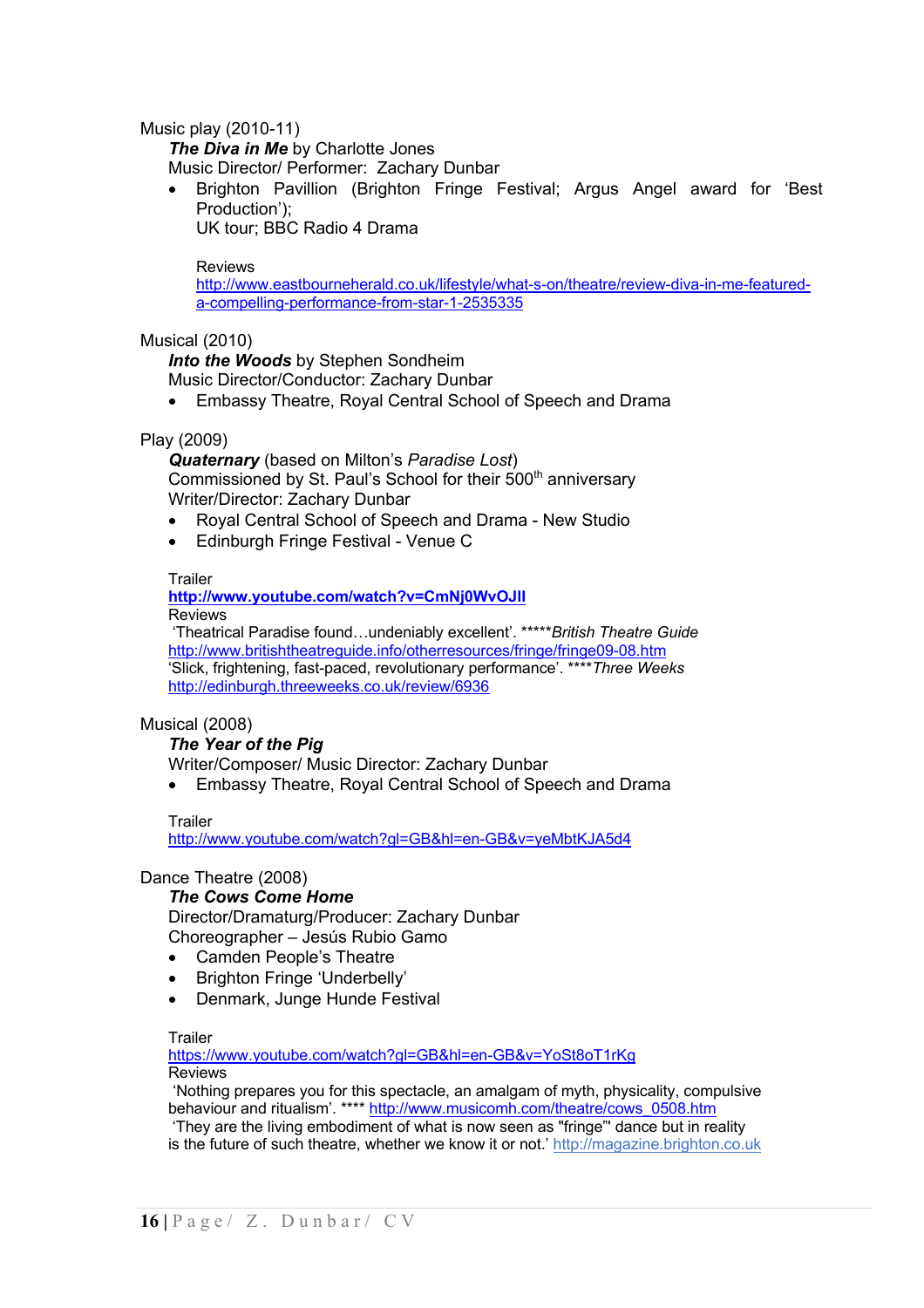Music play (2010-11)

*The Diva in Me by Charlotte Jones* 

Music Director/ Performer: Zachary Dunbar

• Brighton Pavillion (Brighton Fringe Festival; Argus Angel award for 'Best Production');

UK tour; BBC Radio 4 Drama

#### Reviews

http://www.eastbourneherald.co.uk/lifestyle/what-s-on/theatre/review-diva-in-me-featureda-compelling-performance-from-star-1-2535335

### Musical (2010)

*Into the Woods* by Stephen Sondheim

Music Director/Conductor: Zachary Dunbar

• Embassy Theatre, Royal Central School of Speech and Drama

### Play (2009)

*Quaternary* (based on Milton's *Paradise Lost*) Commissioned by St. Paul's School for their 500<sup>th</sup> anniversary Writer/Director: Zachary Dunbar

- Royal Central School of Speech and Drama New Studio
- Edinburgh Fringe Festival Venue C

#### **Trailer**

**http://www.youtube.com/watch?v=CmNj0WvOJlI** Reviews

'Theatrical Paradise found…undeniably excellent'. \*\*\*\*\**British Theatre Guide* http://www.britishtheatreguide.info/otherresources/fringe/fringe09-08.htm 'Slick, frightening, fast-paced, revolutionary performance'. \*\*\*\**Three Weeks* http://edinburgh.threeweeks.co.uk/review/6936

### Musical (2008)

### *The Year of the Pig*

Writer/Composer/ Music Director: Zachary Dunbar

• Embassy Theatre, Royal Central School of Speech and Drama

### **Trailer**

http://www.youtube.com/watch?gl=GB&hl=en-GB&v=yeMbtKJA5d4

### Dance Theatre (2008)

### *The Cows Come Home*

Director/Dramaturg/Producer: Zachary Dunbar Choreographer – Jesús Rubio Gamo

- Camden People's Theatre
- Brighton Fringe 'Underbelly'
- Denmark, Junge Hunde Festival

### **Trailer**

https://www.youtube.com/watch?gl=GB&hl=en-GB&v=YoSt8oT1rKg Reviews

'Nothing prepares you for this spectacle, an amalgam of myth, physicality, compulsive behaviour and ritualism'. \*\*\*\* http://www.musicomh.com/theatre/cows\_0508.htm 'They are the living embodiment of what is now seen as "fringe"' dance but in reality is the future of such theatre, whether we know it or not.' http://magazine.brighton.co.uk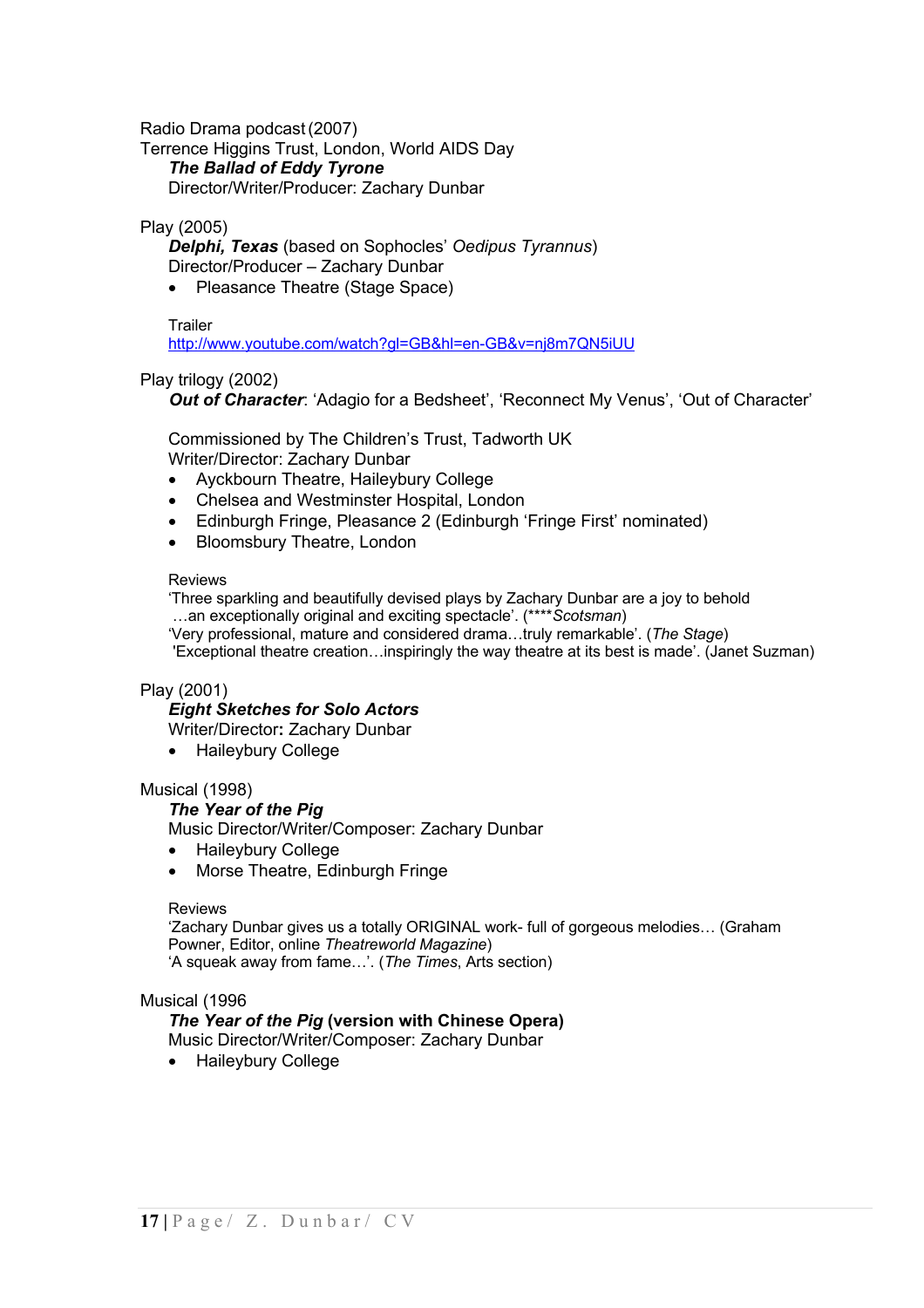Radio Drama podcast(2007)

Terrence Higgins Trust, London, World AIDS Day

*The Ballad of Eddy Tyrone*

Director/Writer/Producer: Zachary Dunbar

### Play (2005)

*Delphi, Texas* (based on Sophocles' *Oedipus Tyrannus*) Director/Producer – Zachary Dunbar

• Pleasance Theatre (Stage Space)

#### **Trailer**

http://www.youtube.com/watch?gl=GB&hl=en-GB&v=nj8m7QN5iUU

### Play trilogy (2002)

 *Out of Character*: 'Adagio for a Bedsheet', 'Reconnect My Venus', 'Out of Character'

Commissioned by The Children's Trust, Tadworth UK Writer/Director: Zachary Dunbar

- Ayckbourn Theatre, Haileybury College
- Chelsea and Westminster Hospital, London
- Edinburgh Fringe, Pleasance 2 (Edinburgh 'Fringe First' nominated)
- Bloomsbury Theatre, London

#### Reviews

'Three sparkling and beautifully devised plays by Zachary Dunbar are a joy to behold …an exceptionally original and exciting spectacle'. (\*\*\*\**Scotsman*)

'Very professional, mature and considered drama…truly remarkable'. (*The Stage*) 'Exceptional theatre creation…inspiringly the way theatre at its best is made'. (Janet Suzman)

### Play (2001)

### *Eight Sketches for Solo Actors*

Writer/Director**:** Zachary Dunbar

• Haileybury College

### Musical (1998)

*The Year of the Pig*

Music Director/Writer/Composer: Zachary Dunbar

- Haileybury College
- Morse Theatre, Edinburgh Fringe

#### Reviews

'Zachary Dunbar gives us a totally ORIGINAL work- full of gorgeous melodies… (Graham Powner, Editor, online *Theatreworld Magazine*) 'A squeak away from fame…'. (*The Times*, Arts section)

### Musical (1996

### *The Year of the Pig* **(version with Chinese Opera)**

Music Director/Writer/Composer: Zachary Dunbar

• Haileybury College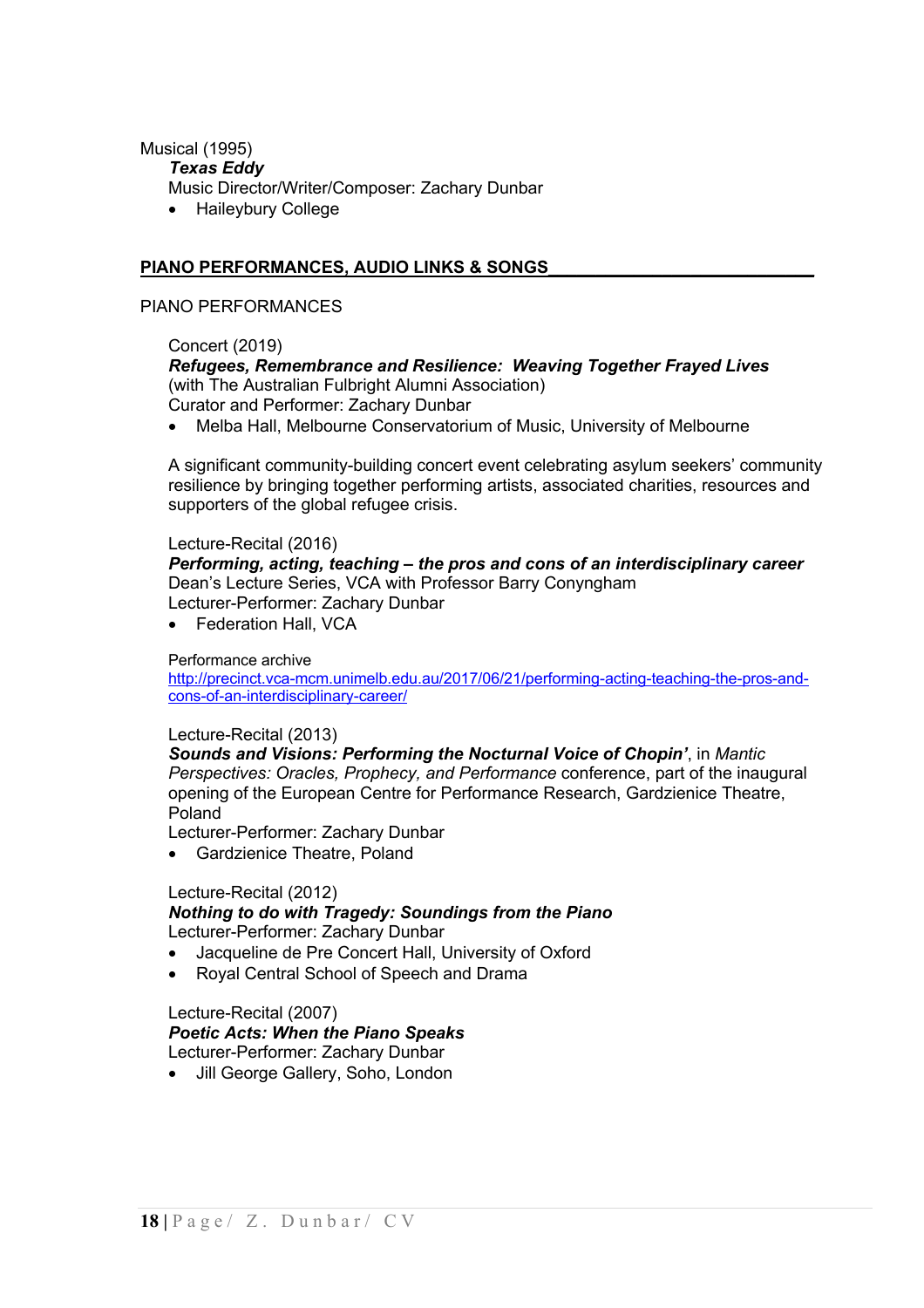### Musical (1995)

#### *Texas Eddy*

- Music Director/Writer/Composer: Zachary Dunbar
- Haileybury College

### **PIANO PERFORMANCES, AUDIO LINKS & SONGS\_\_\_\_\_\_\_\_\_\_\_\_\_\_\_\_\_\_\_\_\_\_\_\_\_\_\_\_**

#### PIANO PERFORMANCES

### Concert (2019)

# *Refugees, Remembrance and Resilience: Weaving Together Frayed Lives*  (with The Australian Fulbright Alumni Association)

Curator and Performer: Zachary Dunbar

• Melba Hall, Melbourne Conservatorium of Music, University of Melbourne

A significant community-building concert event celebrating asylum seekers' community resilience by bringing together performing artists, associated charities, resources and supporters of the global refugee crisis.

#### Lecture-Recital (2016)

*Performing, acting, teaching – the pros and cons of an interdisciplinary career* Dean's Lecture Series, VCA with Professor Barry Conyngham Lecturer-Performer: Zachary Dunbar

• Federation Hall, VCA

#### Performance archive

http://precinct.vca-mcm.unimelb.edu.au/2017/06/21/performing-acting-teaching-the-pros-andcons-of-an-interdisciplinary-career/

### Lecture-Recital (2013)

*Sounds and Visions: Performing the Nocturnal Voice of Chopin'*, in *Mantic Perspectives: Oracles, Prophecy, and Performance* conference, part of the inaugural opening of the European Centre for Performance Research, Gardzienice Theatre, Poland

Lecturer-Performer: Zachary Dunbar

• Gardzienice Theatre, Poland

### Lecture-Recital (2012)

#### *Nothing to do with Tragedy: Soundings from the Piano* Lecturer-Performer: Zachary Dunbar

- Jacqueline de Pre Concert Hall, University of Oxford
- Royal Central School of Speech and Drama

#### Lecture-Recital (2007) *Poetic Acts: When the Piano Speaks* Lecturer-Performer: Zachary Dunbar

Jill George Gallery, Soho, London